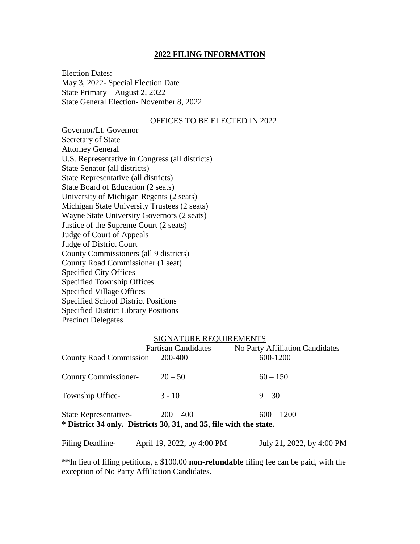### **2022 FILING INFORMATION**

Election Dates: May 3, 2022- Special Election Date State Primary – August 2, 2022 State General Election- November 8, 2022

### OFFICES TO BE ELECTED IN 2022

Governor/Lt. Governor Secretary of State Attorney General U.S. Representative in Congress (all districts) State Senator (all districts) State Representative (all districts) State Board of Education (2 seats) University of Michigan Regents (2 seats) Michigan State University Trustees (2 seats) Wayne State University Governors (2 seats) Justice of the Supreme Court (2 seats) Judge of Court of Appeals Judge of District Court County Commissioners (all 9 districts) County Road Commissioner (1 seat) Specified City Offices Specified Township Offices Specified Village Offices Specified School District Positions Specified District Library Positions Precinct Delegates

#### SIGNATURE REQUIREMENTS

|                                                                                             | <b>Partisan Candidates</b> | <b>No Party Affiliation Candidates</b> |
|---------------------------------------------------------------------------------------------|----------------------------|----------------------------------------|
| <b>County Road Commission</b>                                                               | 200-400                    | 600-1200                               |
| County Commissioner-                                                                        | $20 - 50$                  | $60 - 150$                             |
| Township Office-                                                                            | $3 - 10$                   | $9 - 30$                               |
| State Representative-<br>* District 34 only. Districts 30, 31, and 35, file with the state. | $200 - 400$                | $600 - 1200$                           |

Filing Deadline- April 19, 2022, by 4:00 PM July 21, 2022, by 4:00 PM

\*\*In lieu of filing petitions, a \$100.00 **non-refundable** filing fee can be paid, with the exception of No Party Affiliation Candidates.